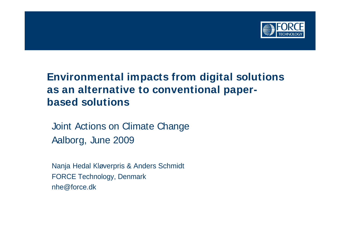

# **Environmental impacts from digital solutions as an alternative to conventional paper based solutions**

Joint Actions on Climate Change Aalborg, June 2009

Nanja Hedal Kløverpris & Anders Schmidt FORCE Technology, Denmark nhe@force.dk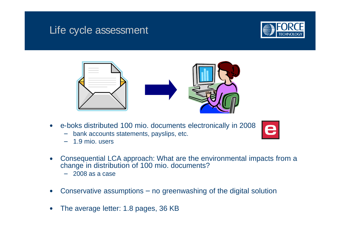## Life cycle assessment





- e-boks distributed 100 mio. documents electronically in 2008
	- bank accounts statements, payslips, etc.
	- 1.9 mio. users
- Consequential LCA approach: What are the environmental impacts from a change in distribution of 100 mio. documents?
	- 2008 as a case
- Conservative assumptions  $-$  no greenwashing of the digital solution
- The average letter: 1.8 pages, 36 KB $\bullet$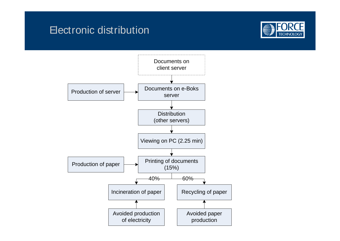## **Electronic distribution**



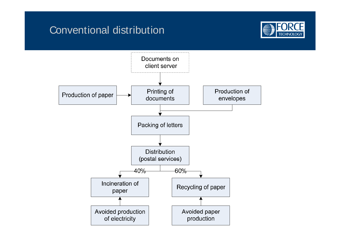### Conventional distribution



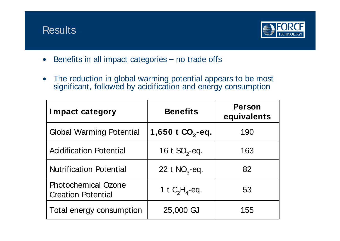



- Benefits in all impact categories  $-$  no trade offs  $\bullet$
- The reduction in global warming potential appears to be most  $\bullet$ significant, followed by acidification and energy consumption

| <b>Impact category</b>                                  | <b>Benefits</b>     | <b>Person</b><br>equivalents |
|---------------------------------------------------------|---------------------|------------------------------|
| <b>Global Warming Potential</b>                         | 1,650 t $CO_2$ -eq. | 190                          |
| Acidification Potential                                 | 16 t $SO_2$ -eq.    | 163                          |
| Nutrification Potential                                 | 22 t $NO3$ -eq.     | 82                           |
| <b>Photochemical Ozone</b><br><b>Creation Potential</b> | 1 t $C_2H_4$ -eq.   | 53                           |
| Total energy consumption                                | 25,000 GJ           | 155                          |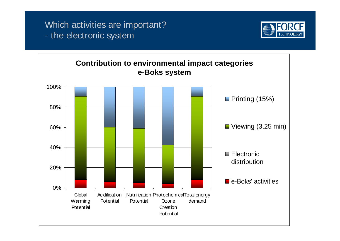#### Which activities are important? - the electronic system



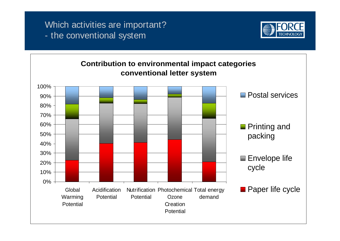#### Which activities are important? - the conventional system



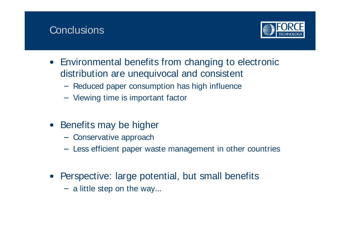### **Conclusions** (The Conclusions ) (The Conclusions ) (The Conclusions ) (The Conclusions ) (The Conclusions ) (The Conclusions ) (The Conclusions ) (The Conclusions ) (The Conclusions ) (The Conclusions ) (The Conclusions



- Environmental benefits from changing to electronic distribution are unequivocal and consistent
	- Reduced paper consumption has high influence
	- Viewing time is important factor
- Benefits may be higher
	- Conservative approach
	- Less efficient paper waste management in other countries
- Perspective: large potential, but small benefits
	- $-$  a little step on the way...